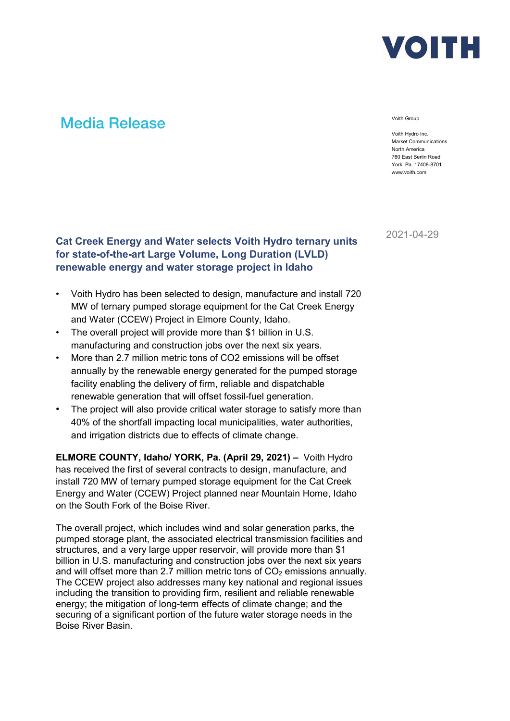

# Media Release Voith Group

Voith Hydro Inc. Market Communications North America 760 East Berlin Road York, Pa. 17408-8701 www.voith.com

2021-04-29

## **Cat Creek Energy and Water selects Voith Hydro ternary units for state-of-the-art Large Volume, Long Duration (LVLD) renewable energy and water storage project in Idaho**

- Voith Hydro has been selected to design, manufacture and install 720 MW of ternary pumped storage equipment for the Cat Creek Energy and Water (CCEW) Project in Elmore County, Idaho.
- The overall project will provide more than \$1 billion in U.S. manufacturing and construction jobs over the next six years.
- More than 2.7 million metric tons of CO2 emissions will be offset annually by the renewable energy generated for the pumped storage facility enabling the delivery of firm, reliable and dispatchable renewable generation that will offset fossil-fuel generation.
- The project will also provide critical water storage to satisfy more than 40% of the shortfall impacting local municipalities, water authorities, and irrigation districts due to effects of climate change.

**ELMORE COUNTY, Idaho/ YORK, Pa. (April 29, 2021) –** Voith Hydro has received the first of several contracts to design, manufacture, and install 720 MW of ternary pumped storage equipment for the Cat Creek Energy and Water (CCEW) Project planned near Mountain Home, Idaho on the South Fork of the Boise River.

The overall project, which includes wind and solar generation parks, the pumped storage plant, the associated electrical transmission facilities and structures, and a very large upper reservoir, will provide more than \$1 billion in U.S. manufacturing and construction jobs over the next six years and will offset more than 2.7 million metric tons of  $CO<sub>2</sub>$  emissions annually. The CCEW project also addresses many key national and regional issues including the transition to providing firm, resilient and reliable renewable energy; the mitigation of long-term effects of climate change; and the securing of a significant portion of the future water storage needs in the Boise River Basin.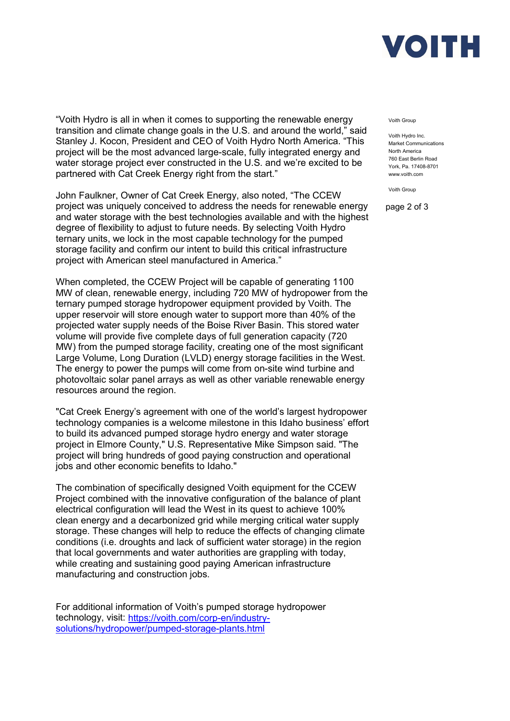

"Voith Hydro is all in when it comes to supporting the renewable energy transition and climate change goals in the U.S. and around the world," said Stanley J. Kocon, President and CEO of Voith Hydro North America. "This project will be the most advanced large-scale, fully integrated energy and water storage project ever constructed in the U.S. and we're excited to be partnered with Cat Creek Energy right from the start."

John Faulkner, Owner of Cat Creek Energy, also noted, "The CCEW project was uniquely conceived to address the needs for renewable energy and water storage with the best technologies available and with the highest degree of flexibility to adjust to future needs. By selecting Voith Hydro ternary units, we lock in the most capable technology for the pumped storage facility and confirm our intent to build this critical infrastructure project with American steel manufactured in America."

When completed, the CCEW Project will be capable of generating 1100 MW of clean, renewable energy, including 720 MW of hydropower from the ternary pumped storage hydropower equipment provided by Voith. The upper reservoir will store enough water to support more than 40% of the projected water supply needs of the Boise River Basin. This stored water volume will provide five complete days of full generation capacity (720 MW) from the pumped storage facility, creating one of the most significant Large Volume, Long Duration (LVLD) energy storage facilities in the West. The energy to power the pumps will come from on-site wind turbine and photovoltaic solar panel arrays as well as other variable renewable energy resources around the region.

"Cat Creek Energy's agreement with one of the world's largest hydropower technology companies is a welcome milestone in this Idaho business' effort to build its advanced pumped storage hydro energy and water storage project in Elmore County," U.S. Representative Mike Simpson said. "The project will bring hundreds of good paying construction and operational jobs and other economic benefits to Idaho."

The combination of specifically designed Voith equipment for the CCEW Project combined with the innovative configuration of the balance of plant electrical configuration will lead the West in its quest to achieve 100% clean energy and a decarbonized grid while merging critical water supply storage. These changes will help to reduce the effects of changing climate conditions (i.e. droughts and lack of sufficient water storage) in the region that local governments and water authorities are grappling with today, while creating and sustaining good paying American infrastructure manufacturing and construction jobs.

For additional information of Voith's pumped storage hydropower technology, visit: [https://voith.com/corp-en/industry](https://voith.com/corp-en/industry-solutions/hydropower/pumped-storage-plants.html)[solutions/hydropower/pumped-storage-plants.html](https://voith.com/corp-en/industry-solutions/hydropower/pumped-storage-plants.html) 

#### Voith Group

Voith Hydro Inc. Market Communications North America 760 East Berlin Road York, Pa. 17408-8701 www.voith.com

Voith Group

page 2 of 3